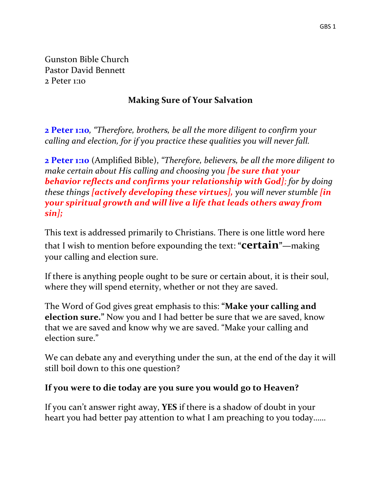Gunston Bible Church Pastor David Bennett 2 Peter 1:10

### **Making Sure of Your Salvation**

**2 Peter 1:10***, "Therefore, brothers, be all the more diligent to confirm your calling and election, for if you practice these qualities you will never fall.*

**2 Peter 1:10** (Amplified Bible), *"Therefore, believers, be all the more diligent to make certain about His calling and choosing you [be sure that your behavior reflects and confirms your relationship with God]; for by doing these things [actively developing these virtues], you will never stumble [in your spiritual growth and will live a life that leads others away from sin];*

This text is addressed primarily to Christians. There is one little word here that I wish to mention before expounding the text: **"certain"—**making your calling and election sure.

If there is anything people ought to be sure or certain about, it is their soul, where they will spend eternity, whether or not they are saved.

The Word of God gives great emphasis to this: **"Make your calling and election sure."** Now you and I had better be sure that we are saved, know that we are saved and know why we are saved. "Make your calling and election sure."

We can debate any and everything under the sun, at the end of the day it will still boil down to this one question?

### **If you were to die today are you sure you would go to Heaven?**

If you can't answer right away, **YES** if there is a shadow of doubt in your heart you had better pay attention to what I am preaching to you today……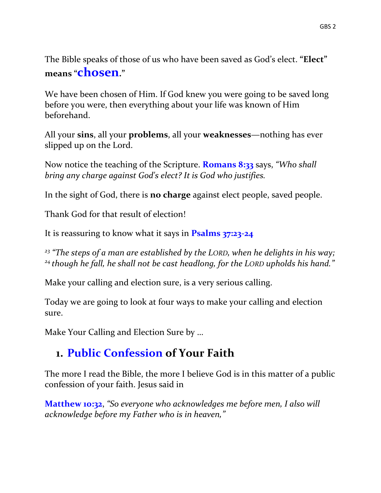The Bible speaks of those of us who have been saved as God's elect. **"Elect" means "chosen."**

We have been chosen of Him. If God knew you were going to be saved long before you were, then everything about your life was known of Him beforehand.

All your **sins**, all your **problems**, all your **weaknesses**—nothing has ever slipped up on the Lord.

Now notice the teaching of the Scripture. **Romans 8:33** says, *"Who shall bring any charge against God's elect? It is God who justifies.*

In the sight of God, there is **no charge** against elect people, saved people.

Thank God for that result of election!

It is reassuring to know what it says in **Psalms 37:23-24**

*<sup>23</sup> "The steps of a man are established by the LORD, when he delights in his way; <sup>24</sup> though he fall, he shall not be cast headlong, for the LORD upholds his hand."*

Make your calling and election sure, is a very serious calling.

Today we are going to look at four ways to make your calling and election sure.

Make Your Calling and Election Sure by …

## **1. Public Confession of Your Faith**

The more I read the Bible, the more I believe God is in this matter of a public confession of your faith. Jesus said in

**Matthew 10:32**, *"So everyone who acknowledges me before men, I also will acknowledge before my Father who is in heaven,"*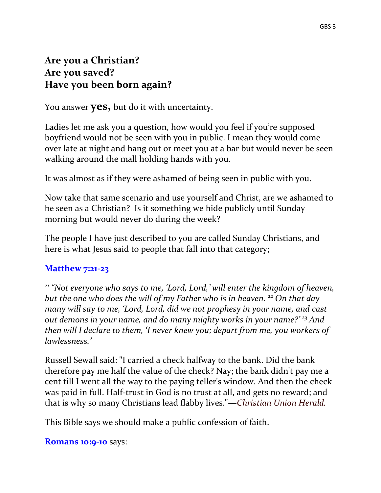#### GBS 3

### **Are you a Christian? Are you saved? Have you been born again?**

You answer **yes,** but do it with uncertainty.

Ladies let me ask you a question, how would you feel if you're supposed boyfriend would not be seen with you in public. I mean they would come over late at night and hang out or meet you at a bar but would never be seen walking around the mall holding hands with you.

It was almost as if they were ashamed of being seen in public with you.

Now take that same scenario and use yourself and Christ, are we ashamed to be seen as a Christian? Is it something we hide publicly until Sunday morning but would never do during the week?

The people I have just described to you are called Sunday Christians, and here is what Jesus said to people that fall into that category;

### **Matthew 7:21-23**

*<sup>21</sup> "Not everyone who says to me, 'Lord, Lord,' will enter the kingdom of heaven, but the one who does the will of my Father who is in heaven. <sup>22</sup> On that day many will say to me, 'Lord, Lord, did we not prophesy in your name, and cast out demons in your name, and do many mighty works in your name?' <sup>23</sup> And then will I declare to them, 'I never knew you; depart from me, you workers of lawlessness.'*

Russell Sewall said: "I carried a check halfway to the bank. Did the bank therefore pay me half the value of the check? Nay; the bank didn't pay me a cent till I went all the way to the paying teller's window. And then the check was paid in full. Half-trust in God is no trust at all, and gets no reward; and that is why so many Christians lead flabby lives."—*Christian Union Herald.*

This Bible says we should make a public confession of faith.

#### **Romans 10:9-10** says: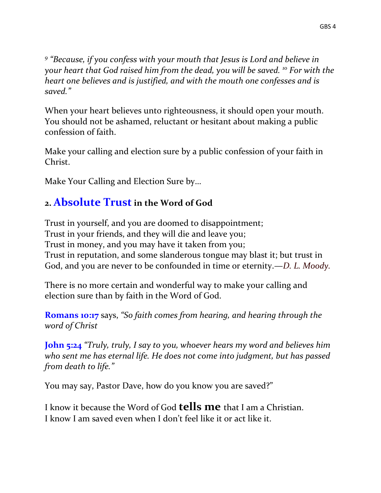*9 "Because, if you confess with your mouth that Jesus is Lord and believe in your heart that God raised him from the dead, you will be saved. <sup>10</sup> For with the heart one believes and is justified, and with the mouth one confesses and is saved."*

When your heart believes unto righteousness, it should open your mouth. You should not be ashamed, reluctant or hesitant about making a public confession of faith.

Make your calling and election sure by a public confession of your faith in Christ.

Make Your Calling and Election Sure by…

### **2. Absolute Trustin the Word of God**

Trust in yourself, and you are doomed to disappointment; Trust in your friends, and they will die and leave you; Trust in money, and you may have it taken from you; Trust in reputation, and some slanderous tongue may blast it; but trust in God, and you are never to be confounded in time or eternity.—*D. L. Moody.*

There is no more certain and wonderful way to make your calling and election sure than by faith in the Word of God.

**Romans 10:17** says, *"So faith comes from hearing, and hearing through the word of Christ*

**John 5:24** *"Truly, truly, I say to you, whoever hears my word and believes him who sent me has eternal life. He does not come into judgment, but has passed from death to life."*

You may say, Pastor Dave, how do you know you are saved?"

I know it because the Word of God **tells me** that I am a Christian. I know I am saved even when I don't feel like it or act like it.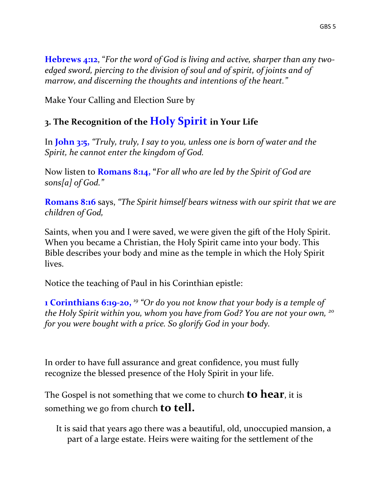**Hebrews 4:12**, "*For the word of God is living and active, sharper than any twoedged sword, piercing to the division of soul and of spirit, of joints and of marrow, and discerning the thoughts and intentions of the heart."*

Make Your Calling and Election Sure by

## **3. The Recognition of the Holy Spirit in Your Life**

In **John 3:5,** *"Truly, truly, I say to you, unless one is born of water and the Spirit, he cannot enter the kingdom of God.*

Now listen to **Romans 8:14, "***For all who are led by the Spirit of God are sons[a] of God."*

**Romans 8:16** says, *"The Spirit himself bears witness with our spirit that we are children of God,*

Saints, when you and I were saved, we were given the gift of the Holy Spirit. When you became a Christian, the Holy Spirit came into your body. This Bible describes your body and mine as the temple in which the Holy Spirit lives.

Notice the teaching of Paul in his Corinthian epistle:

**1 Corinthians 6:19-20,** <sup>19</sup> "Or do you not know that your body is a temple of *the Holy Spirit within you, whom you have from God? You are not your own, <sup>20</sup> for you were bought with a price. So glorify God in your body.* 

In order to have full assurance and great confidence, you must fully recognize the blessed presence of the Holy Spirit in your life.

The Gospel is not something that we come to church **to hear**, it is something we go from church **to tell.**

It is said that years ago there was a beautiful, old, unoccupied mansion, a part of a large estate. Heirs were waiting for the settlement of the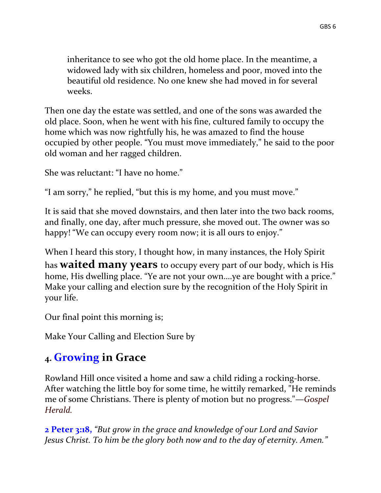inheritance to see who got the old home place. In the meantime, a widowed lady with six children, homeless and poor, moved into the beautiful old residence. No one knew she had moved in for several weeks.

Then one day the estate was settled, and one of the sons was awarded the old place. Soon, when he went with his fine, cultured family to occupy the home which was now rightfully his, he was amazed to find the house occupied by other people. "You must move immediately," he said to the poor old woman and her ragged children.

She was reluctant: "I have no home."

"I am sorry," he replied, "but this is my home, and you must move."

It is said that she moved downstairs, and then later into the two back rooms, and finally, one day, after much pressure, she moved out. The owner was so happy! "We can occupy every room now; it is all ours to enjoy."

When I heard this story, I thought how, in many instances, the Holy Spirit has **waited many years** to occupy every part of our body, which is His home, His dwelling place. "Ye are not your own....ye are bought with a price." Make your calling and election sure by the recognition of the Holy Spirit in your life.

Our final point this morning is;

Make Your Calling and Election Sure by

# **4. Growing in Grace**

Rowland Hill once visited a home and saw a child riding a rocking-horse. After watching the little boy for some time, he wittily remarked, "He reminds me of some Christians. There is plenty of motion but no progress."—*Gospel Herald.* 

**2 Peter 3:18,** *"But grow in the grace and knowledge of our Lord and Savior Jesus Christ. To him be the glory both now and to the day of eternity. Amen."*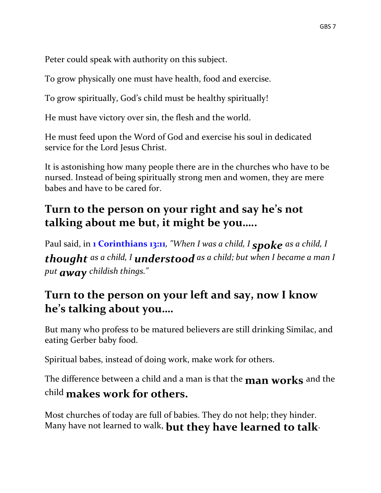Peter could speak with authority on this subject.

To grow physically one must have health, food and exercise.

To grow spiritually, God's child must be healthy spiritually!

He must have victory over sin, the flesh and the world.

He must feed upon the Word of God and exercise his soul in dedicated service for the Lord Jesus Christ.

It is astonishing how many people there are in the churches who have to be nursed. Instead of being spiritually strong men and women, they are mere babes and have to be cared for.

# **Turn to the person on your right and say he's not talking about me but, it might be you…..**

Paul said, in **1 Corinthians 13:11***, "When I was a child, I spoke as a child, I thought as a child, I understood as a child; but when I became a man I put away childish things."*

## **Turn to the person on your left and say, now I know he's talking about you….**

But many who profess to be matured believers are still drinking Similac, and eating Gerber baby food.

Spiritual babes, instead of doing work, make work for others.

The difference between a child and a man is that the **man works** and the child **makes work for others.** 

Most churches of today are full of babies. They do not help; they hinder. Many have not learned to walk, **but they have learned to talk**.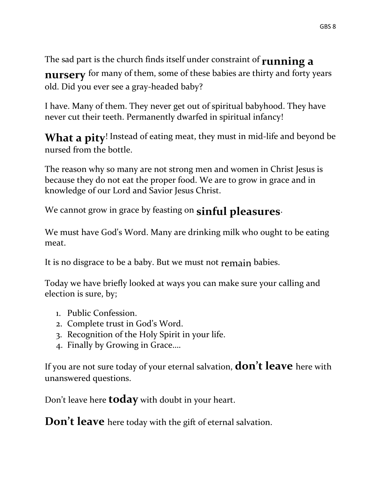The sad part is the church finds itself under constraint of **running a nursery** for many of them, some of these babies are thirty and forty years old. Did you ever see a gray-headed baby?

I have. Many of them. They never get out of spiritual babyhood. They have never cut their teeth. Permanently dwarfed in spiritual infancy!

What a pity! Instead of eating meat, they must in mid-life and beyond be nursed from the bottle.

The reason why so many are not strong men and women in Christ Jesus is because they do not eat the proper food. We are to grow in grace and in knowledge of our Lord and Savior Jesus Christ.

We cannot grow in grace by feasting on **sinful pleasures**.

We must have God's Word. Many are drinking milk who ought to be eating meat.

It is no disgrace to be a baby. But we must not remain babies.

Today we have briefly looked at ways you can make sure your calling and election is sure, by;

- 1. Public Confession.
- 2. Complete trust in God's Word.
- 3. Recognition of the Holy Spirit in your life.
- 4. Finally by Growing in Grace….

If you are not sure today of your eternal salvation, **don't leave** here with unanswered questions.

Don't leave here **today** with doubt in your heart.

**Don't leave** here today with the gift of eternal salvation.